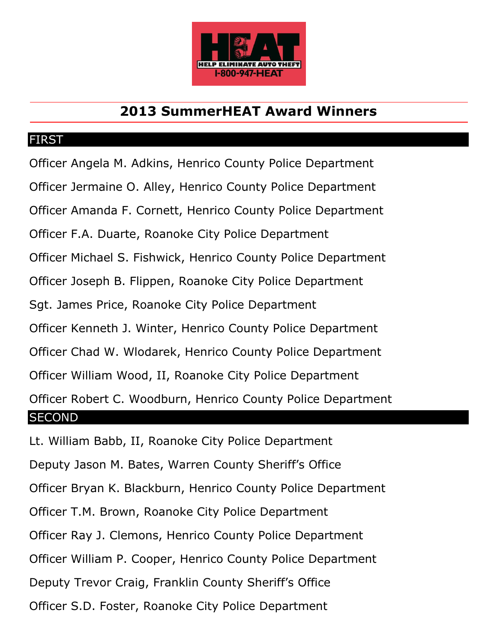

## **2013 SummerHEAT Award Winners**

## FIRST

Officer Angela M. Adkins, Henrico County Police Department Officer Jermaine O. Alley, Henrico County Police Department Officer Amanda F. Cornett, Henrico County Police Department Officer F.A. Duarte, Roanoke City Police Department Officer Michael S. Fishwick, Henrico County Police Department Officer Joseph B. Flippen, Roanoke City Police Department Sgt. James Price, Roanoke City Police Department Officer Kenneth J. Winter, Henrico County Police Department Officer Chad W. Wlodarek, Henrico County Police Department Officer William Wood, II, Roanoke City Police Department Officer Robert C. Woodburn, Henrico County Police Department **SECOND** 

Lt. William Babb, II, Roanoke City Police Department Deputy Jason M. Bates, Warren County Sheriff's Office Officer Bryan K. Blackburn, Henrico County Police Department Officer T.M. Brown, Roanoke City Police Department Officer Ray J. Clemons, Henrico County Police Department Officer William P. Cooper, Henrico County Police Department Deputy Trevor Craig, Franklin County Sheriff's Office Officer S.D. Foster, Roanoke City Police Department